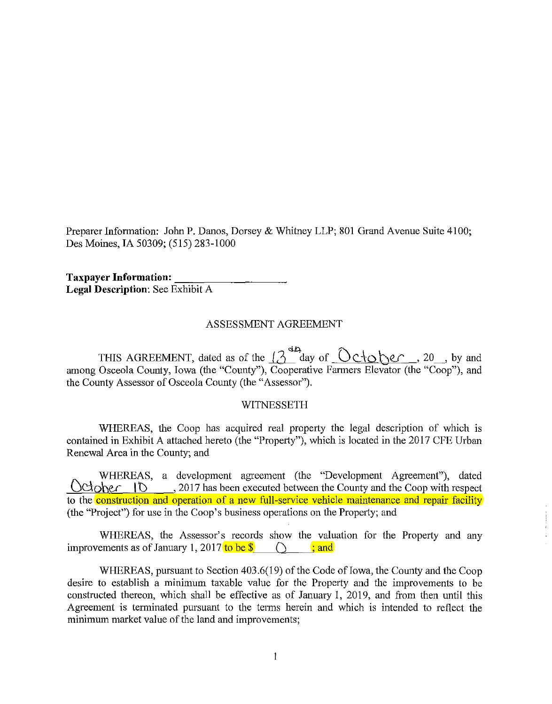Preparer Information: John P. Danos, Dorsey & Whitney LLP; 801 Grand Avenue Suite 4100; Des Moines, IA 50309; (515) 283-1000

**Taxpayer Information: Legal Description:** See Exhibit A

#### ASSESSMENT AGREEMENT

THIS AGREEMENT, dated as of the  $\int_0^{44}$  day of  $Ocb0$   $\ell$ , 20, by and among Osceola County, Iowa (the "County"), Cooperative Farmers Elevator (the "Coop"), and the County Assessor of Osceola County (the "Assessor").

#### WITNESSETH

WHEREAS, the Coop has acquired real property the legal description of which is contained in Exhibit A attached hereto (the "Property"), which is located in the 2017 CFE Urban Renewal Area in the County; and

WHEREAS, a development agreement (the "Development Agreement"), dated October **ID**, 2017 has been executed between the County and the Coop with respect to the **construction and operation of a new full-service vehicle maintenance and repair facility** (the "Project") for use in the Coop's business operations on the Propetiy; and

WHEREAS, the Assessor's records show the valuation for the Property and any improvements as of January 1, 2017 to be  $\$\circ$   $\$\circ$  ; and

WHEREAS, pursuant to Section  $403.6(19)$  of the Code of Iowa, the County and the Coop desire to establish a minimum taxable value for the Property and the improvements to be constructed thereon, which shall be effective as of January 1, 2019, and from then until this Agreement is terminated pursuant to the terms herein and which is intended to reflect the minimum market value of the land and improvements;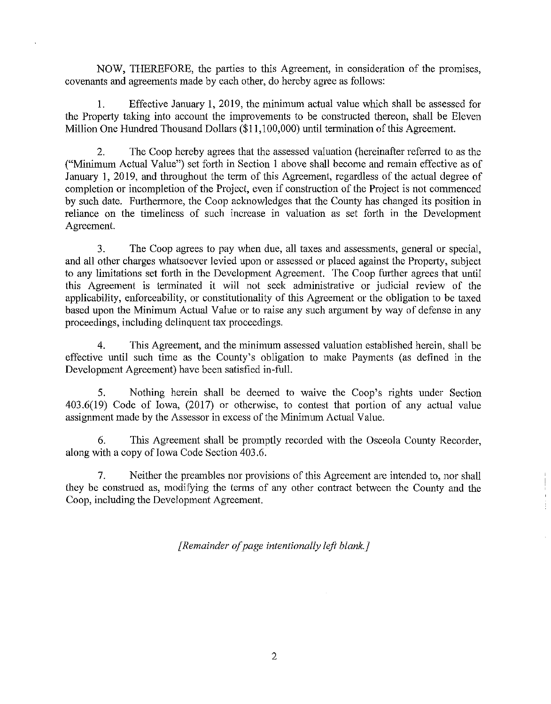NOW, THEREFORE, the parties to this Agreement, in consideration of the promises, covenants and agreements made by each other, do hereby agree as follows:

I. Effective January 1, 2019, the minimum actual value which shall be assessed for the Property taking into account the improvements to be constructed thereon, shall be Eleven Million One Hundred Thousand Dollars (\$11,100,000) until termination of this Agreement.

2. The Coop hereby agrees that the assessed valuation (hereinafter referred to as the ("Minimum Actual Value") set forth in Section I above shall become and remain effective as of January 1, 2019, and throughout the term of this Agreement, regardless of the actual degree of completion or incompletion of the Project, even if construction of the Project is not commenced by such date. Furthermore, the Coop acknowledges that the County has changed its position in reliance on the timeliness of such increase in valuation as set forth in the Development Agreement.

3. The Coop agrees to pay when due, all taxes and assessments, general or special, and all other charges whatsoever levied upon or assessed or placed against the Property, subject to any limitations set forth in the Development Agreement. The Coop further agrees that until this Agreement is terminated it will not seek administrative or judicial review of the applicability, enforceability, or constitutionality of this Agreement or the obligation to be taxed based upon the Minimum Actual Value or to raise any such argument by way of defense in any proceedings, including delinquent tax proceedings.

4. This Agreement, and the minimum assessed valuation established herein, shall be effective until such time as the County's obligation to make Payments (as defined in the Development Agreement) have been satisfied in-full.

5. Nothing herein shall be deemed to waive the Coop's rights under Section  $403.6(19)$  Code of Iowa,  $(2017)$  or otherwise, to contest that portion of any actual value assignment made by the Assessor in excess of the Minimum Actual Value.

6. This Agreement shall be promptly recorded with the Osceola County Recorder, along with a copy of Iowa Code Section 403.6.

7. Neither the preambles nor provisions of this Agreement are intended to, nor shall they be construed as, modifying the terms of any other contract between the County and the Coop, including the Development Agreement.

*[Remainder of page intentionally left blank.]*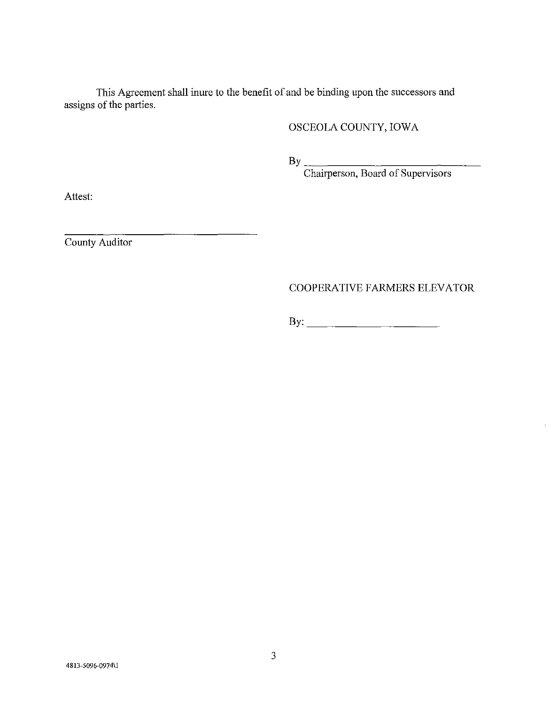This Agreement shall inure to the benefit of and be binding upon the successors and assigns of the parties.

## OSCEOLA COUNTY, IOWA

 $\mathbf{B} \mathbf{y}$   $\qquad \qquad$ 

Chairperson, Board of Supervisors

Attest:

County Auditor

## COOPERATIVE FARMERS ELEVATOR

 $\overline{\phantom{a}}$ 

By: \_\_\_\_\_\_\_\_\_\_\_\_\_\_\_\_\_\_ \_\_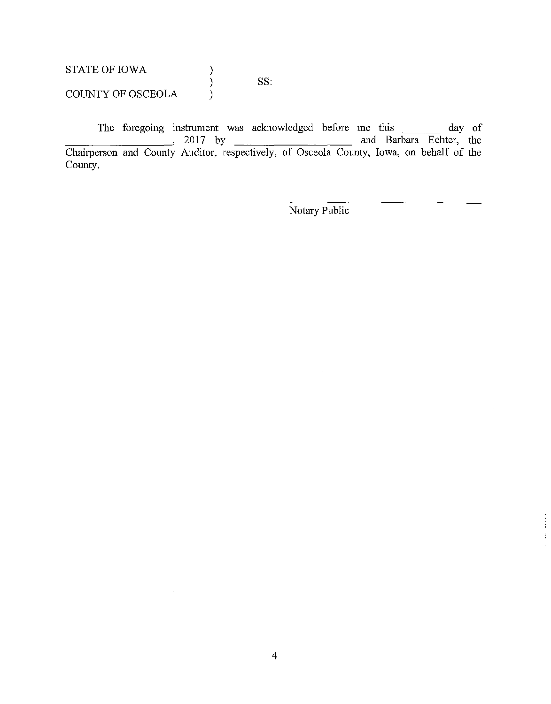STATE OF IOWA COUNTY OF OSCEOLA ) ) ) SS:

 $\mathcal{L}^{\mathcal{A}}$ 

The foregoing instrument was acknowledged before me this \_\_\_\_\_\_\_ day of  $\frac{2017}{\cancel{100}}$  by  $\frac{2017}{\cancel{100}}$  and Barbara Echter, the Chairperson and County Auditor, respectively, of Osceola County, Iowa, on behalf of the County.

Notary Public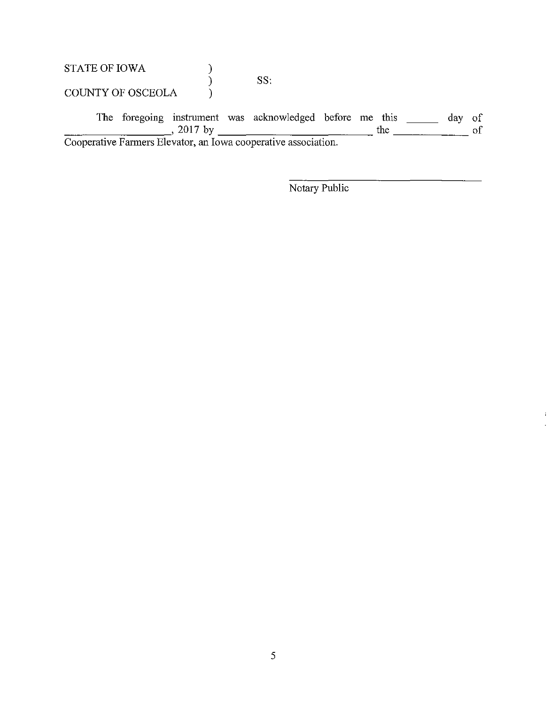STATE OF IOWA COUNTY OF OSCEOLA ) ) ) SS:

The foregoing instrument was acknowledged before me this \_\_\_\_\_\_ day of The foregoing instrument was acknowledged before the this  $\frac{1}{2}$  day of Cooperative Farmers Elevator, an Iowa cooperative association.

Notary Public

 $\mathbf{I}$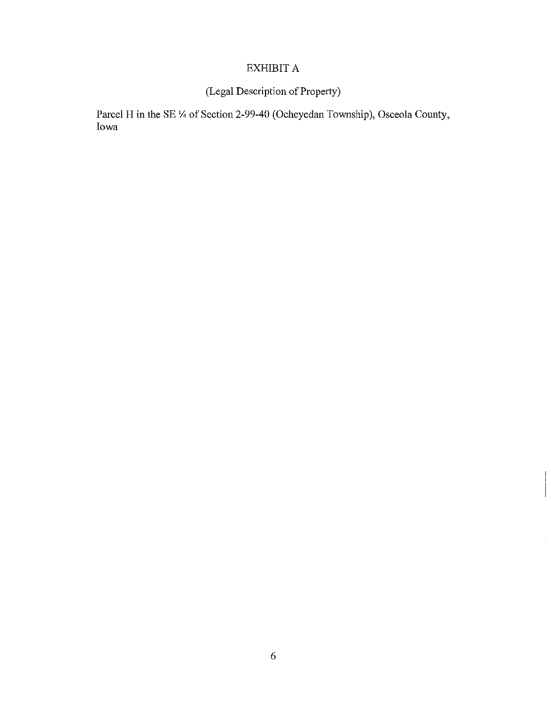# EXHIBIT A

# (Legal Description of Property)

Parcel H in the SE  $\frac{1}{4}$  of Section 2-99-40 (Ocheyedan Township), Osceola County, Iowa